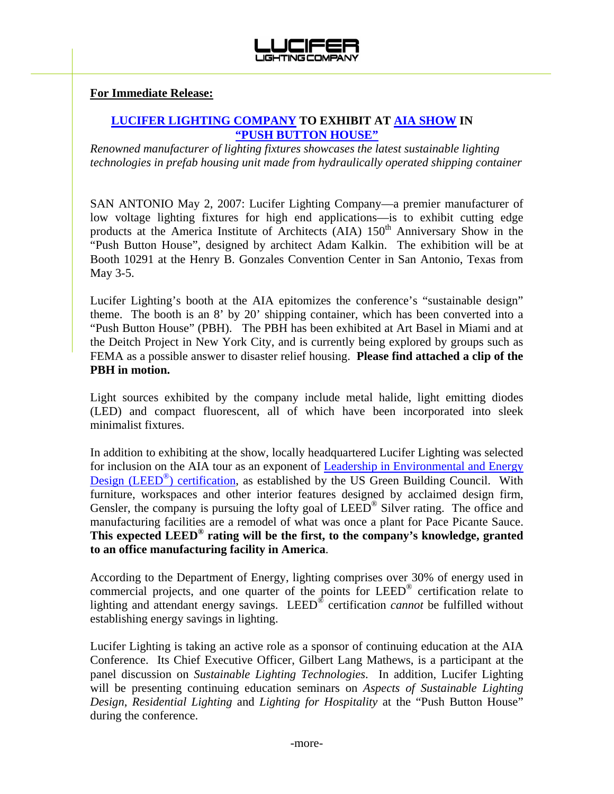

## **For Immediate Release:**

## **LUCIFER LIGHTING COMPANY TO EXHIBIT AT AIA SHOW IN "PUSH BUTTON HOUSE"**

*Renowned manufacturer of lighting fixtures showcases the latest sustainable lighting technologies in prefab housing unit made from hydraulically operated shipping container* 

SAN ANTONIO May 2, 2007: Lucifer Lighting Company—a premier manufacturer of low voltage lighting fixtures for high end applications—is to exhibit cutting edge products at the America Institute of Architects (AIA) 150<sup>th</sup> Anniversary Show in the "Push Button House", designed by architect Adam Kalkin. The exhibition will be at Booth 10291 at the Henry B. Gonzales Convention Center in San Antonio, Texas from May 3-5.

Lucifer Lighting's booth at the AIA epitomizes the conference's "sustainable design" theme. The booth is an 8' by 20' shipping container, which has been converted into a "Push Button House" (PBH). The PBH has been exhibited at Art Basel in Miami and at the Deitch Project in New York City, and is currently being explored by groups such as FEMA as a possible answer to disaster relief housing. **Please find attached a clip of the PBH in motion.** 

Light sources exhibited by the company include metal halide, light emitting diodes (LED) and compact fluorescent, all of which have been incorporated into sleek minimalist fixtures.

In addition to exhibiting at the show, locally headquartered Lucifer Lighting was selected for inclusion on the AIA tour as an exponent of Leadership in Environmental and Energy Design (LEED<sup>®</sup>) certification, as established by the US Green Building Council. With furniture, workspaces and other interior features designed by acclaimed design firm, Gensler, the company is pursuing the lofty goal of LEED<sup>®</sup> Silver rating. The office and manufacturing facilities are a remodel of what was once a plant for Pace Picante Sauce. **This expected LEED® rating will be the first, to the company's knowledge, granted to an office manufacturing facility in America**.

According to the Department of Energy, lighting comprises over 30% of energy used in commercial projects, and one quarter of the points for LEED® certification relate to lighting and attendant energy savings. LEED® certification *cannot* be fulfilled without establishing energy savings in lighting.

Lucifer Lighting is taking an active role as a sponsor of continuing education at the AIA Conference. Its Chief Executive Officer, Gilbert Lang Mathews, is a participant at the panel discussion on *Sustainable Lighting Technologies*. In addition, Lucifer Lighting will be presenting continuing education seminars on *Aspects of Sustainable Lighting Design*, *Residential Lighting* and *Lighting for Hospitality* at the "Push Button House" during the conference.